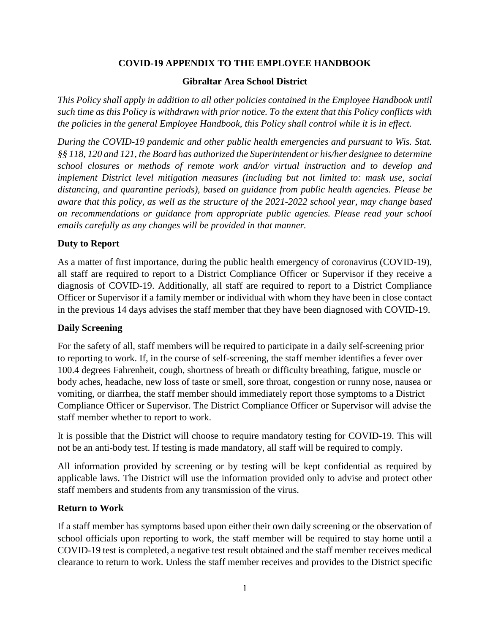# **COVID-19 APPENDIX TO THE EMPLOYEE HANDBOOK**

### **Gibraltar Area School District**

*This Policy shall apply in addition to all other policies contained in the Employee Handbook until such time as this Policy is withdrawn with prior notice. To the extent that this Policy conflicts with the policies in the general Employee Handbook, this Policy shall control while it is in effect.* 

*During the COVID-19 pandemic and other public health emergencies and pursuant to Wis. Stat. §§ 118, 120 and 121, the Board has authorized the Superintendent or his/her designee to determine school closures or methods of remote work and/or virtual instruction and to develop and implement District level mitigation measures (including but not limited to: mask use, social distancing, and quarantine periods), based on guidance from public health agencies. Please be aware that this policy, as well as the structure of the 2021-2022 school year, may change based on recommendations or guidance from appropriate public agencies. Please read your school emails carefully as any changes will be provided in that manner.* 

### **Duty to Report**

As a matter of first importance, during the public health emergency of coronavirus (COVID-19), all staff are required to report to a District Compliance Officer or Supervisor if they receive a diagnosis of COVID-19. Additionally, all staff are required to report to a District Compliance Officer or Supervisor if a family member or individual with whom they have been in close contact in the previous 14 days advises the staff member that they have been diagnosed with COVID-19.

# **Daily Screening**

For the safety of all, staff members will be required to participate in a daily self-screening prior to reporting to work. If, in the course of self-screening, the staff member identifies a fever over 100.4 degrees Fahrenheit, cough, shortness of breath or difficulty breathing, fatigue, muscle or body aches, headache, new loss of taste or smell, sore throat, congestion or runny nose, nausea or vomiting, or diarrhea, the staff member should immediately report those symptoms to a District Compliance Officer or Supervisor. The District Compliance Officer or Supervisor will advise the staff member whether to report to work.

It is possible that the District will choose to require mandatory testing for COVID-19. This will not be an anti-body test. If testing is made mandatory, all staff will be required to comply.

All information provided by screening or by testing will be kept confidential as required by applicable laws. The District will use the information provided only to advise and protect other staff members and students from any transmission of the virus.

### **Return to Work**

If a staff member has symptoms based upon either their own daily screening or the observation of school officials upon reporting to work, the staff member will be required to stay home until a COVID-19 test is completed, a negative test result obtained and the staff member receives medical clearance to return to work. Unless the staff member receives and provides to the District specific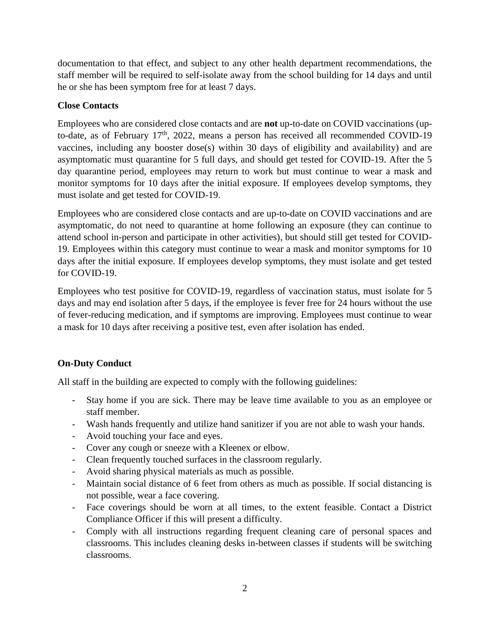documentation to that effect, and subject to any other health department recommendations, the staff member will be required to self-isolate away from the school building for 14 days and until he or she has been symptom free for at least 7 days.

# **Close Contacts**

Employees who are considered close contacts and are **not** up-to-date on COVID vaccinations (upto-date, as of February 17<sup>th</sup>, 2022, means a person has received all recommended COVID-19 vaccines, including any booster dose(s) within 30 days of eligibility and availability) and are asymptomatic must quarantine for 5 full days, and should get tested for COVID-19. After the 5 day quarantine period, employees may return to work but must continue to wear a mask and monitor symptoms for 10 days after the initial exposure. If employees develop symptoms, they must isolate and get tested for COVID-19.

Employees who are considered close contacts and are up-to-date on COVID vaccinations and are asymptomatic, do not need to quarantine at home following an exposure (they can continue to attend school in-person and participate in other activities), but should still get tested for COVID-19. Employees within this category must continue to wear a mask and monitor symptoms for 10 days after the initial exposure. If employees develop symptoms, they must isolate and get tested for COVID-19.

Employees who test positive for COVID-19, regardless of vaccination status, must isolate for 5 days and may end isolation after 5 days, if the employee is fever free for 24 hours without the use of fever-reducing medication, and if symptoms are improving. Employees must continue to wear a mask for 10 days after receiving a positive test, even after isolation has ended.

# **On-Duty Conduct**

All staff in the building are expected to comply with the following guidelines:

- Stay home if you are sick. There may be leave time available to you as an employee or staff member.
- Wash hands frequently and utilize hand sanitizer if you are not able to wash your hands.
- Avoid touching your face and eyes.
- Cover any cough or sneeze with a Kleenex or elbow.
- Clean frequently touched surfaces in the classroom regularly.
- Avoid sharing physical materials as much as possible.
- Maintain social distance of 6 feet from others as much as possible. If social distancing is not possible, wear a face covering.
- Face coverings should be worn at all times, to the extent feasible. Contact a District Compliance Officer if this will present a difficulty.
- Comply with all instructions regarding frequent cleaning care of personal spaces and classrooms. This includes cleaning desks in-between classes if students will be switching classrooms.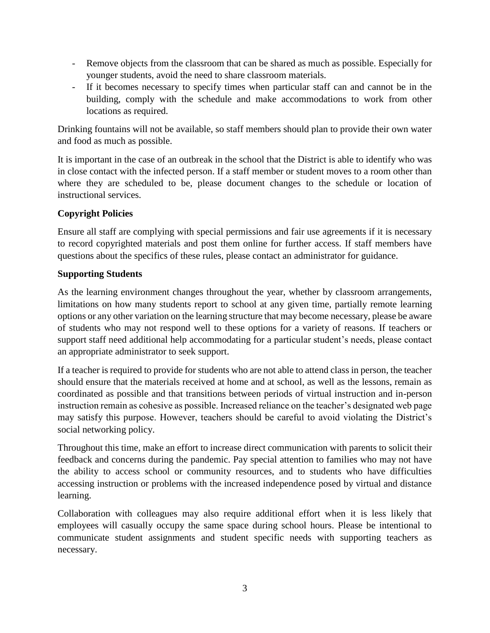- Remove objects from the classroom that can be shared as much as possible. Especially for younger students, avoid the need to share classroom materials.
- If it becomes necessary to specify times when particular staff can and cannot be in the building, comply with the schedule and make accommodations to work from other locations as required.

Drinking fountains will not be available, so staff members should plan to provide their own water and food as much as possible.

It is important in the case of an outbreak in the school that the District is able to identify who was in close contact with the infected person. If a staff member or student moves to a room other than where they are scheduled to be, please document changes to the schedule or location of instructional services.

# **Copyright Policies**

Ensure all staff are complying with special permissions and fair use agreements if it is necessary to record copyrighted materials and post them online for further access. If staff members have questions about the specifics of these rules, please contact an administrator for guidance.

# **Supporting Students**

As the learning environment changes throughout the year, whether by classroom arrangements, limitations on how many students report to school at any given time, partially remote learning options or any other variation on the learning structure that may become necessary, please be aware of students who may not respond well to these options for a variety of reasons. If teachers or support staff need additional help accommodating for a particular student's needs, please contact an appropriate administrator to seek support.

If a teacher is required to provide for students who are not able to attend class in person, the teacher should ensure that the materials received at home and at school, as well as the lessons, remain as coordinated as possible and that transitions between periods of virtual instruction and in-person instruction remain as cohesive as possible. Increased reliance on the teacher's designated web page may satisfy this purpose. However, teachers should be careful to avoid violating the District's social networking policy.

Throughout this time, make an effort to increase direct communication with parents to solicit their feedback and concerns during the pandemic. Pay special attention to families who may not have the ability to access school or community resources, and to students who have difficulties accessing instruction or problems with the increased independence posed by virtual and distance learning.

Collaboration with colleagues may also require additional effort when it is less likely that employees will casually occupy the same space during school hours. Please be intentional to communicate student assignments and student specific needs with supporting teachers as necessary.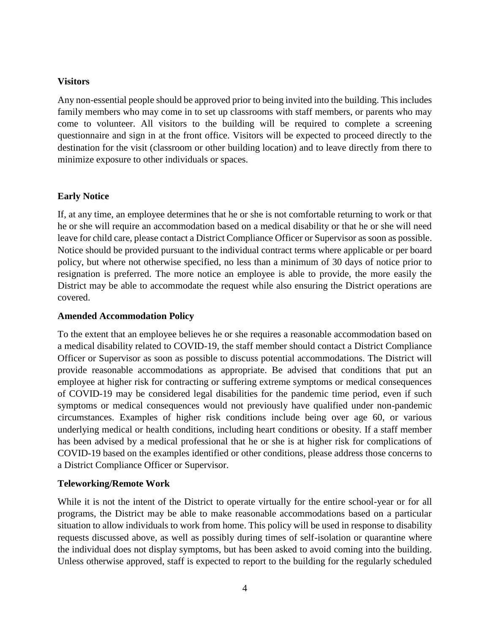## **Visitors**

Any non-essential people should be approved prior to being invited into the building. This includes family members who may come in to set up classrooms with staff members, or parents who may come to volunteer. All visitors to the building will be required to complete a screening questionnaire and sign in at the front office. Visitors will be expected to proceed directly to the destination for the visit (classroom or other building location) and to leave directly from there to minimize exposure to other individuals or spaces.

## **Early Notice**

If, at any time, an employee determines that he or she is not comfortable returning to work or that he or she will require an accommodation based on a medical disability or that he or she will need leave for child care, please contact a District Compliance Officer or Supervisor as soon as possible. Notice should be provided pursuant to the individual contract terms where applicable or per board policy, but where not otherwise specified, no less than a minimum of 30 days of notice prior to resignation is preferred. The more notice an employee is able to provide, the more easily the District may be able to accommodate the request while also ensuring the District operations are covered.

### **Amended Accommodation Policy**

To the extent that an employee believes he or she requires a reasonable accommodation based on a medical disability related to COVID-19, the staff member should contact a District Compliance Officer or Supervisor as soon as possible to discuss potential accommodations. The District will provide reasonable accommodations as appropriate. Be advised that conditions that put an employee at higher risk for contracting or suffering extreme symptoms or medical consequences of COVID-19 may be considered legal disabilities for the pandemic time period, even if such symptoms or medical consequences would not previously have qualified under non-pandemic circumstances. Examples of higher risk conditions include being over age 60, or various underlying medical or health conditions, including heart conditions or obesity. If a staff member has been advised by a medical professional that he or she is at higher risk for complications of COVID-19 based on the examples identified or other conditions, please address those concerns to a District Compliance Officer or Supervisor.

### **Teleworking/Remote Work**

While it is not the intent of the District to operate virtually for the entire school-year or for all programs, the District may be able to make reasonable accommodations based on a particular situation to allow individuals to work from home. This policy will be used in response to disability requests discussed above, as well as possibly during times of self-isolation or quarantine where the individual does not display symptoms, but has been asked to avoid coming into the building. Unless otherwise approved, staff is expected to report to the building for the regularly scheduled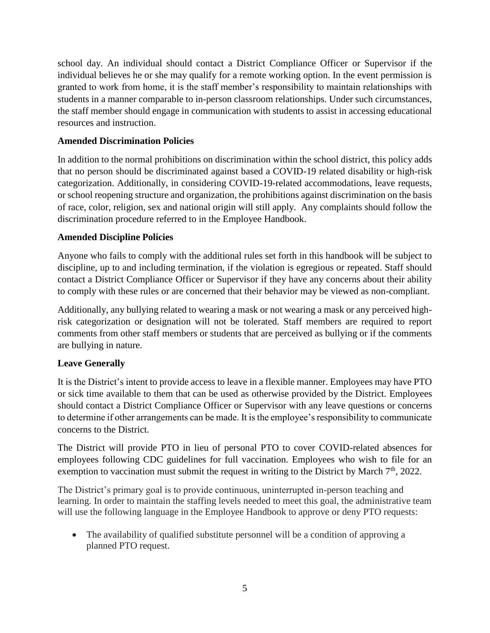school day. An individual should contact a District Compliance Officer or Supervisor if the individual believes he or she may qualify for a remote working option. In the event permission is granted to work from home, it is the staff member's responsibility to maintain relationships with students in a manner comparable to in-person classroom relationships. Under such circumstances, the staff member should engage in communication with students to assist in accessing educational resources and instruction.

# **Amended Discrimination Policies**

In addition to the normal prohibitions on discrimination within the school district, this policy adds that no person should be discriminated against based a COVID-19 related disability or high-risk categorization. Additionally, in considering COVID-19-related accommodations, leave requests, or school reopening structure and organization, the prohibitions against discrimination on the basis of race, color, religion, sex and national origin will still apply. Any complaints should follow the discrimination procedure referred to in the Employee Handbook.

# **Amended Discipline Policies**

Anyone who fails to comply with the additional rules set forth in this handbook will be subject to discipline, up to and including termination, if the violation is egregious or repeated. Staff should contact a District Compliance Officer or Supervisor if they have any concerns about their ability to comply with these rules or are concerned that their behavior may be viewed as non-compliant.

Additionally, any bullying related to wearing a mask or not wearing a mask or any perceived highrisk categorization or designation will not be tolerated. Staff members are required to report comments from other staff members or students that are perceived as bullying or if the comments are bullying in nature.

# **Leave Generally**

It is the District's intent to provide access to leave in a flexible manner. Employees may have PTO or sick time available to them that can be used as otherwise provided by the District. Employees should contact a District Compliance Officer or Supervisor with any leave questions or concerns to determine if other arrangements can be made. It is the employee's responsibility to communicate concerns to the District.

The District will provide PTO in lieu of personal PTO to cover COVID-related absences for employees following CDC guidelines for full vaccination. Employees who wish to file for an exemption to vaccination must submit the request in writing to the District by March 7<sup>th</sup>, 2022.

The District's primary goal is to provide continuous, uninterrupted in-person teaching and learning. In order to maintain the staffing levels needed to meet this goal, the administrative team will use the following language in the Employee Handbook to approve or deny PTO requests:

• The availability of qualified substitute personnel will be a condition of approving a planned PTO request.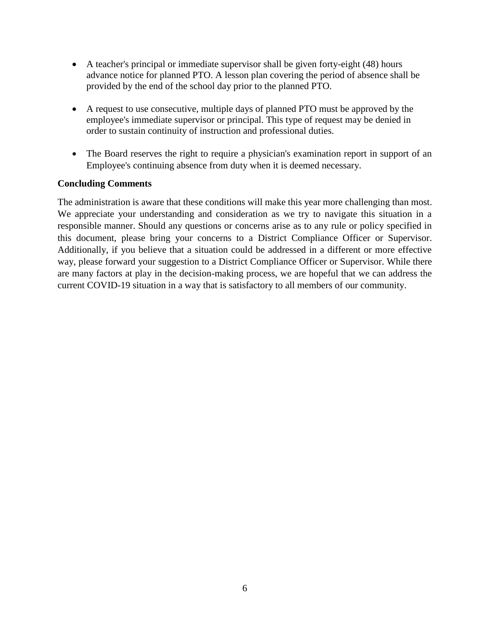- A teacher's principal or immediate supervisor shall be given forty-eight (48) hours advance notice for planned PTO. A lesson plan covering the period of absence shall be provided by the end of the school day prior to the planned PTO.
- A request to use consecutive, multiple days of planned PTO must be approved by the employee's immediate supervisor or principal. This type of request may be denied in order to sustain continuity of instruction and professional duties.
- The Board reserves the right to require a physician's examination report in support of an Employee's continuing absence from duty when it is deemed necessary.

## **Concluding Comments**

The administration is aware that these conditions will make this year more challenging than most. We appreciate your understanding and consideration as we try to navigate this situation in a responsible manner. Should any questions or concerns arise as to any rule or policy specified in this document, please bring your concerns to a District Compliance Officer or Supervisor. Additionally, if you believe that a situation could be addressed in a different or more effective way, please forward your suggestion to a District Compliance Officer or Supervisor. While there are many factors at play in the decision-making process, we are hopeful that we can address the current COVID-19 situation in a way that is satisfactory to all members of our community.